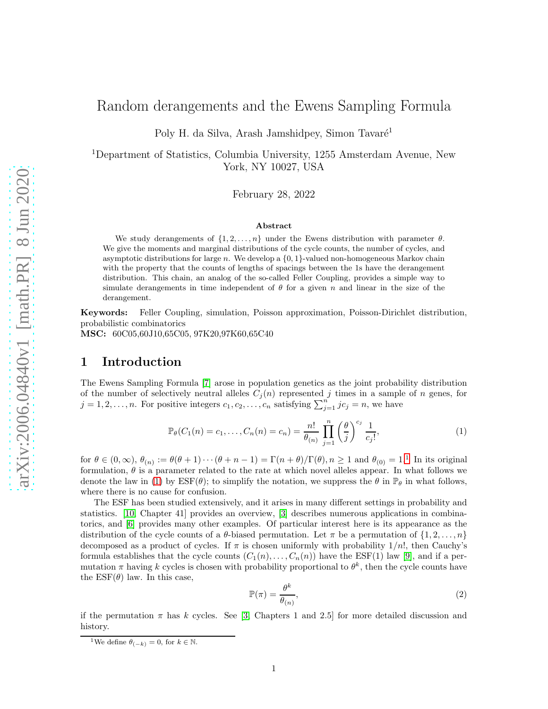# Random derangements and the Ewens Sampling Formula

Poly H. da Silva, Arash Jamshidpey, Simon Tavaré<sup>1</sup>

<sup>1</sup>Department of Statistics, Columbia University, 1255 Amsterdam Avenue, New York, NY 10027, USA

February 28, 2022

#### Abstract

We study derangements of  $\{1, 2, \ldots, n\}$  under the Ewens distribution with parameter  $\theta$ . We give the moments and marginal distributions of the cycle counts, the number of cycles, and asymptotic distributions for large n. We develop a  $\{0, 1\}$ -valued non-homogeneous Markov chain with the property that the counts of lengths of spacings between the 1s have the derangement distribution. This chain, an analog of the so-called Feller Coupling, provides a simple way to simulate derangements in time independent of  $\theta$  for a given n and linear in the size of the derangement.

Keywords: Feller Coupling, simulation, Poisson approximation, Poisson-Dirichlet distribution, probabilistic combinatorics

MSC: 60C05,60J10,65C05, 97K20,97K60,65C40

## 1 Introduction

The Ewens Sampling Formula [\[7\]](#page-11-0) arose in population genetics as the joint probability distribution of the number of selectively neutral alleles  $C_i(n)$  represented j times in a sample of n genes, for  $j = 1, 2, \ldots, n$ . For positive integers  $c_1, c_2, \ldots, c_n$  satisfying  $\sum_{j=1}^n j c_j = n$ , we have

<span id="page-0-1"></span>
$$
\mathbb{P}_{\theta}(C_1(n) = c_1, ..., C_n(n) = c_n) = \frac{n!}{\theta(n)} \prod_{j=1}^n \left(\frac{\theta}{j}\right)^{c_j} \frac{1}{c_j!},
$$
\n(1)

for  $\theta \in (0,\infty)$ ,  $\theta_{(n)} := \theta(\theta+1)\cdots(\theta+n-1) = \Gamma(n+\theta)/\Gamma(\theta)$  $\theta_{(n)} := \theta(\theta+1)\cdots(\theta+n-1) = \Gamma(n+\theta)/\Gamma(\theta)$  $\theta_{(n)} := \theta(\theta+1)\cdots(\theta+n-1) = \Gamma(n+\theta)/\Gamma(\theta)$ ,  $n \ge 1$  and  $\theta_{(0)} = 1$ .<sup>1</sup> In its original formulation,  $\theta$  is a parameter related to the rate at which novel alleles appear. In what follows we denote the law in [\(1\)](#page-0-1) by  $\text{ESF}(\theta)$ ; to simplify the notation, we suppress the  $\theta$  in  $\mathbb{P}_{\theta}$  in what follows, where there is no cause for confusion.

The ESF has been studied extensively, and it arises in many different settings in probability and statistics. [\[10,](#page-11-1) Chapter 41] provides an overview, [\[3\]](#page-11-2) describes numerous applications in combinatorics, and [\[6\]](#page-11-3) provides many other examples. Of particular interest here is its appearance as the distribution of the cycle counts of a  $\theta$ -biased permutation. Let  $\pi$  be a permutation of  $\{1, 2, \ldots, n\}$ decomposed as a product of cycles. If  $\pi$  is chosen uniformly with probability  $1/n!$ , then Cauchy's formula establishes that the cycle counts  $(C_1(n), \ldots, C_n(n))$  have the ESF(1) law [\[9\]](#page-11-4), and if a permutation  $\pi$  having k cycles is chosen with probability proportional to  $\theta^k$ , then the cycle counts have the  $ESF(\theta)$  law. In this case,

<span id="page-0-2"></span>
$$
\mathbb{P}(\pi) = \frac{\theta^k}{\theta_{(n)}},\tag{2}
$$

if the permutation  $\pi$  has k cycles. See [\[3,](#page-11-2) Chapters 1 and 2.5] for more detailed discussion and history.

<span id="page-0-0"></span><sup>&</sup>lt;sup>1</sup>We define  $\theta_{(-k)} = 0$ , for  $k \in \mathbb{N}$ .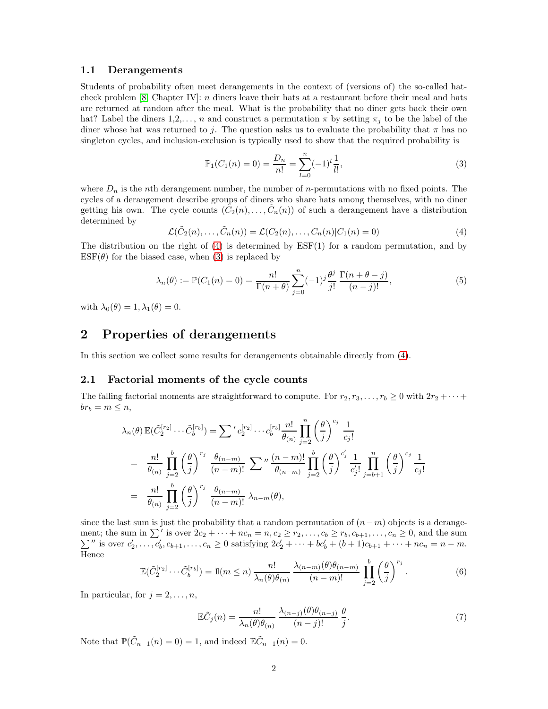#### 1.1 Derangements

Students of probability often meet derangements in the context of (versions of) the so-called hatcheck problem [\[8,](#page-11-5) Chapter IV]: n diners leave their hats at a restaurant before their meal and hats are returned at random after the meal. What is the probability that no diner gets back their own hat? Label the diners  $1,2,\ldots,n$  and construct a permutation  $\pi$  by setting  $\pi_i$  to be the label of the diner whose hat was returned to j. The question asks us to evaluate the probability that  $\pi$  has no singleton cycles, and inclusion-exclusion is typically used to show that the required probability is

<span id="page-1-1"></span>
$$
\mathbb{P}_1(C_1(n) = 0) = \frac{D_n}{n!} = \sum_{l=0}^n (-1)^l \frac{1}{l!},\tag{3}
$$

where  $D_n$  is the nth derangement number, the number of *n*-permutations with no fixed points. The cycles of a derangement describe groups of diners who share hats among themselves, with no diner getting his own. The cycle counts  $(\tilde{C}_2(n), \ldots, \tilde{C}_n(n))$  of such a derangement have a distribution determined by

<span id="page-1-0"></span>
$$
\mathcal{L}(\tilde{C}_2(n),\ldots,\tilde{C}_n(n)) = \mathcal{L}(C_2(n),\ldots,C_n(n)|C_1(n) = 0)
$$
\n(4)

The distribution on the right of  $(4)$  is determined by  $ESF(1)$  for a random permutation, and by  $ESF(\theta)$  for the biased case, when [\(3\)](#page-1-1) is replaced by

<span id="page-1-3"></span>
$$
\lambda_n(\theta) := \mathbb{P}(C_1(n) = 0) = \frac{n!}{\Gamma(n+\theta)} \sum_{j=0}^n (-1)^j \frac{\theta^j}{j!} \frac{\Gamma(n+\theta-j)}{(n-j)!},
$$
(5)

with  $\lambda_0(\theta) = 1, \lambda_1(\theta) = 0.$ 

### 2 Properties of derangements

In this section we collect some results for derangements obtainable directly from [\(4\)](#page-1-0).

### 2.1 Factorial moments of the cycle counts

The falling factorial moments are straightforward to compute. For  $r_2, r_3, \ldots, r_b \geq 0$  with  $2r_2 + \cdots$  $br_b = m \leq n,$ 

$$
\lambda_n(\theta) \mathbb{E}(\tilde{C}_2^{[r_2]} \cdots \tilde{C}_b^{[r_b]}) = \sum' c_2^{[r_2]} \cdots c_b^{[r_b]} \frac{n!}{\theta_{(n)}} \prod_{j=2}^n \left(\frac{\theta}{j}\right)^{c_j} \frac{1}{c_j!}
$$
  
\n
$$
= \frac{n!}{\theta_{(n)}} \prod_{j=2}^b \left(\frac{\theta}{j}\right)^{r_j} \frac{\theta_{(n-m)}}{(n-m)!} \sum'' \frac{(n-m)!}{\theta_{(n-m)}} \prod_{j=2}^b \left(\frac{\theta}{j}\right)^{c_j'} \frac{1}{c_j!} \prod_{j=b+1}^n \left(\frac{\theta}{j}\right)^{c_j} \frac{1}{c_j!}
$$
  
\n
$$
= \frac{n!}{\theta_{(n)}} \prod_{j=2}^b \left(\frac{\theta}{j}\right)^{r_j} \frac{\theta_{(n-m)}}{(n-m)!} \lambda_{n-m}(\theta),
$$

since the last sum is just the probability that a random permutation of  $(n-m)$  objects is a derangement; the sum in  $\Sigma'$  $\sum$ is over  $2c_2 + \cdots + nc_n = n, c_2 \ge r_2, \ldots, c_b \ge r_b, c_{b+1}, \ldots, c_n \ge 0$ , and the sum '' is over  $c'_2, \ldots, c'_b, c_{b+1}, \ldots, c_n \ge 0$  satisfying  $2c'_2 + \cdots + bc'_b + (b+1)c_{b+1} + \cdots + nc_n = n-m$ . Hence

<span id="page-1-2"></span>
$$
\mathbb{E}(\tilde{C}_2^{[r_2]}\cdots\tilde{C}_b^{[r_b]}) = \mathbb{1}(m \le n) \frac{n!}{\lambda_n(\theta)\theta_{(n)}} \frac{\lambda_{(n-m)}(\theta)\theta_{(n-m)}}{(n-m)!} \prod_{j=2}^b \left(\frac{\theta}{j}\right)^{r_j}.
$$
 (6)

In particular, for  $j = 2, \ldots, n$ ,

<span id="page-1-4"></span>
$$
\mathbb{E}\tilde{C}_{j}(n) = \frac{n!}{\lambda_{n}(\theta)\theta_{(n)}} \frac{\lambda_{(n-j)}(\theta)\theta_{(n-j)}}{(n-j)!} \frac{\theta}{j}.
$$
\n<sup>(7)</sup>

Note that  $\mathbb{P}(\tilde{C}_{n-1}(n) = 0) = 1$ , and indeed  $\mathbb{E}\tilde{C}_{n-1}(n) = 0$ .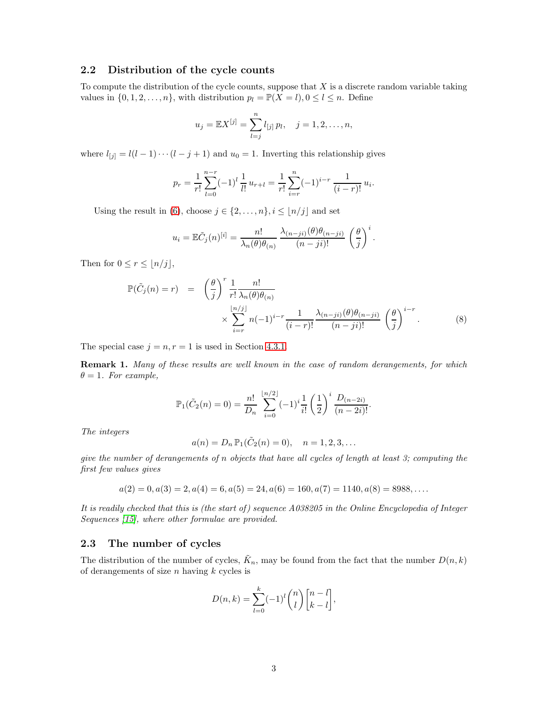### 2.2 Distribution of the cycle counts

To compute the distribution of the cycle counts, suppose that  $X$  is a discrete random variable taking values in  $\{0, 1, 2, \ldots, n\}$ , with distribution  $p_l = \mathbb{P}(X = l), 0 \leq l \leq n$ . Define

$$
u_j = \mathbb{E}X^{[j]} = \sum_{l=j}^n l_{[j]} p_l, \quad j = 1, 2, \dots, n,
$$

where  $l_{[j]} = l(l-1)\cdots(l-j+1)$  and  $u_0 = 1$ . Inverting this relationship gives

$$
p_r = \frac{1}{r!} \sum_{l=0}^{n-r} (-1)^l \frac{1}{l!} u_{r+l} = \frac{1}{r!} \sum_{i=r}^n (-1)^{i-r} \frac{1}{(i-r)!} u_i.
$$

Using the result in [\(6\)](#page-1-2), choose  $j \in \{2, ..., n\}, i \leq \lfloor n/j \rfloor$  and set

$$
u_i = \mathbb{E}\tilde{C}_j(n)^{[i]} = \frac{n!}{\lambda_n(\theta)\theta_{(n)}} \frac{\lambda_{(n-ji)}(\theta)\theta_{(n-ji)}}{(n-ji)!} \left(\frac{\theta}{j}\right)^i.
$$

Then for  $0 \leq r \leq |n/j|$ ,

$$
\mathbb{P}(\tilde{C}_j(n) = r) = \left(\frac{\theta}{j}\right)^r \frac{1}{r!} \frac{n!}{\lambda_n(\theta)\theta_{(n)}} \times \sum_{i=r}^{\lfloor n/j \rfloor} n(-1)^{i-r} \frac{1}{(i-r)!} \frac{\lambda_{(n-ji)}(\theta)\theta_{(n-ji)}}{(n-ji)!} \left(\frac{\theta}{j}\right)^{i-r}.
$$
\n(8)

The special case  $j = n, r = 1$  is used in Section [4.3.1.](#page-8-0)

Remark 1. *Many of these results are well known in the case of random derangements, for which*  $\theta = 1$ *. For example,* 

$$
\mathbb{P}_1(\tilde{C}_2(n) = 0) = \frac{n!}{D_n} \sum_{i=0}^{\lfloor n/2 \rfloor} (-1)^i \frac{1}{i!} \left(\frac{1}{2}\right)^i \frac{D_{(n-2i)}}{(n-2i)!}.
$$

*The integers*

$$
a(n) = D_n \mathbb{P}_1(\tilde{C}_2(n) = 0), \quad n = 1, 2, 3, ...
$$

*give the number of derangements of* n *objects that have all cycles of length at least 3; computing the first few values gives*

$$
a(2) = 0, a(3) = 2, a(4) = 6, a(5) = 24, a(6) = 160, a(7) = 1140, a(8) = 8988, \dots
$$

*It is readily checked that this is (the start of ) sequence A038205 in the Online Encyclopedia of Integer Sequences [\[15\]](#page-12-0), where other formulae are provided.*

### 2.3 The number of cycles

The distribution of the number of cycles,  $\tilde{K}_n$ , may be found from the fact that the number  $D(n, k)$ of derangements of size  $n$  having  $k$  cycles is

$$
D(n,k) = \sum_{l=0}^{k} (-1)^l \binom{n}{l} \begin{bmatrix} n-l \\ k-l \end{bmatrix},
$$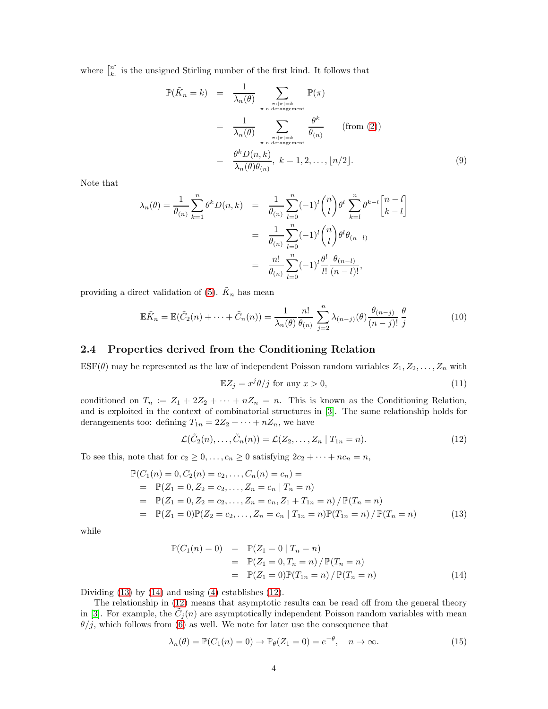where  $\begin{bmatrix} n \\ k \end{bmatrix}$  is the unsigned Stirling number of the first kind. It follows that

$$
\mathbb{P}(\tilde{K}_n = k) = \frac{1}{\lambda_n(\theta)} \sum_{\substack{\pi : |\pi| = k \ \pi \text{ a derangement} \\ \pi \text{ a derangement}}} \mathbb{P}(\pi)
$$

$$
= \frac{1}{\lambda_n(\theta)} \sum_{\substack{\pi : |\pi| = k \ \pi \text{ a derangement} \\ \pi \text{ a derangement} }} \frac{\theta^k}{\theta(n)} \qquad \text{(from (2))}
$$

$$
= \frac{\theta^k D(n, k)}{\lambda_n(\theta)\theta(n)}, \ k = 1, 2, \dots, \lfloor n/2 \rfloor. \tag{9}
$$

Note that

$$
\lambda_n(\theta) = \frac{1}{\theta_{(n)}} \sum_{k=1}^n \theta^k D(n,k) = \frac{1}{\theta_{(n)}} \sum_{l=0}^n (-1)^l \binom{n}{l} \theta^l \sum_{k=l}^n \theta^{k-l} \binom{n-l}{k-l} \n= \frac{1}{\theta_{(n)}} \sum_{l=0}^n (-1)^l \binom{n}{l} \theta^l \theta_{(n-l)} \n= \frac{n!}{\theta_{(n)}} \sum_{l=0}^n (-1)^l \frac{\theta^l}{l!} \frac{\theta_{(n-l)}}{(n-l)!},
$$

providing a direct validation of [\(5\)](#page-1-3).  $\tilde{K}_n$  has mean

$$
\mathbb{E}\tilde{K}_n = \mathbb{E}(\tilde{C}_2(n) + \dots + \tilde{C}_n(n)) = \frac{1}{\lambda_n(\theta)} \frac{n!}{\theta(n)} \sum_{j=2}^n \lambda_{(n-j)}(\theta) \frac{\theta_{(n-j)}}{(n-j)!} \frac{\theta}{j}
$$
(10)

### 2.4 Properties derived from the Conditioning Relation

 $\text{ESF}(\theta)$  may be represented as the law of independent Poisson random variables  $Z_1, Z_2, \ldots, Z_n$  with

<span id="page-3-4"></span>
$$
\mathbb{E}Z_j = x^j \theta / j \text{ for any } x > 0,
$$
\n(11)

conditioned on  $T_n := Z_1 + 2Z_2 + \cdots + nZ_n = n$ . This is known as the Conditioning Relation, and is exploited in the context of combinatorial structures in [\[3\]](#page-11-2). The same relationship holds for derangements too: defining  $T_{1n} = 2Z_2 + \cdots + nZ_n$ , we have

<span id="page-3-2"></span>
$$
\mathcal{L}(\tilde{C}_2(n),\ldots,\tilde{C}_n(n)) = \mathcal{L}(Z_2,\ldots,Z_n \mid T_{1n} = n). \tag{12}
$$

To see this, note that for  $c_2 \geq 0, \ldots, c_n \geq 0$  satisfying  $2c_2 + \cdots + nc_n = n$ ,

<span id="page-3-0"></span>
$$
\mathbb{P}(C_1(n) = 0, C_2(n) = c_2, \dots, C_n(n) = c_n) =
$$
\n
$$
= \mathbb{P}(Z_1 = 0, Z_2 = c_2, \dots, Z_n = c_n | T_n = n)
$$
\n
$$
= \mathbb{P}(Z_1 = 0, Z_2 = c_2, \dots, Z_n = c_n, Z_1 + T_{1n} = n) / \mathbb{P}(T_n = n)
$$
\n
$$
= \mathbb{P}(Z_1 = 0)\mathbb{P}(Z_2 = c_2, \dots, Z_n = c_n | T_{1n} = n)\mathbb{P}(T_{1n} = n) / \mathbb{P}(T_n = n)
$$
\n(13)

while

<span id="page-3-1"></span>
$$
\mathbb{P}(C_1(n) = 0) = \mathbb{P}(Z_1 = 0 | T_n = n)
$$
  
=  $\mathbb{P}(Z_1 = 0, T_n = n) / \mathbb{P}(T_n = n)$   
=  $\mathbb{P}(Z_1 = 0) \mathbb{P}(T_{1n} = n) / \mathbb{P}(T_n = n)$  (14)

Dividing  $(13)$  by  $(14)$  and using  $(4)$  establishes  $(12)$ .

The relationship in [\(12\)](#page-3-2) means that asymptotic results can be read off from the general theory in [\[3\]](#page-11-2). For example, the  $\tilde{C}_j(n)$  are asymptotically independent Poisson random variables with mean  $\theta/j$ , which follows from [\(6\)](#page-1-2) as well. We note for later use the consequence that

<span id="page-3-3"></span>
$$
\lambda_n(\theta) = \mathbb{P}(C_1(n) = 0) \to \mathbb{P}_{\theta}(Z_1 = 0) = e^{-\theta}, \quad n \to \infty.
$$
 (15)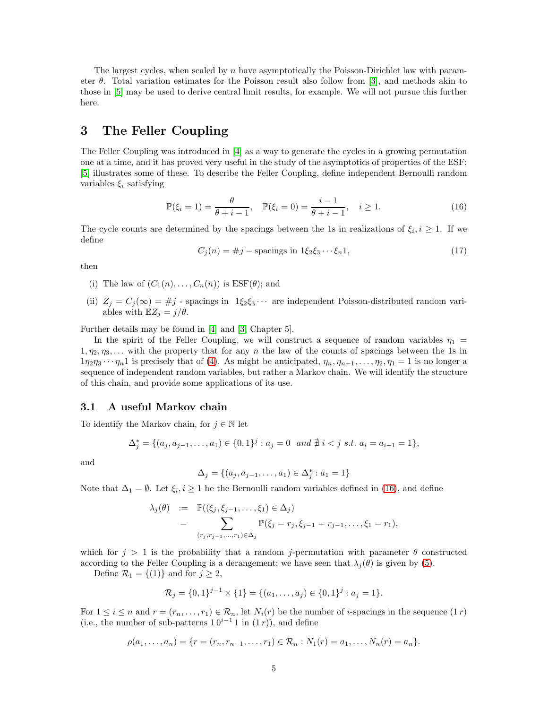The largest cycles, when scaled by n have asymptotically the Poisson-Dirichlet law with parameter  $\theta$ . Total variation estimates for the Poisson result also follow from [\[3\]](#page-11-2), and methods akin to those in [\[5\]](#page-11-6) may be used to derive central limit results, for example. We will not pursue this further here.

# 3 The Feller Coupling

The Feller Coupling was introduced in [\[4\]](#page-11-7) as a way to generate the cycles in a growing permutation one at a time, and it has proved very useful in the study of the asymptotics of properties of the ESF; [\[5\]](#page-11-6) illustrates some of these. To describe the Feller Coupling, define independent Bernoulli random variables  $\xi_i$  satisfying

<span id="page-4-0"></span>
$$
\mathbb{P}(\xi_i = 1) = \frac{\theta}{\theta + i - 1}, \quad \mathbb{P}(\xi_i = 0) = \frac{i - 1}{\theta + i - 1}, \quad i \ge 1.
$$
 (16)

The cycle counts are determined by the spacings between the 1s in realizations of  $\xi_i, i \geq 1$ . If we define

<span id="page-4-1"></span>
$$
C_j(n) = \#j - \text{spacings in } 1\xi_2\xi_3 \cdots \xi_n1,
$$
\n
$$
(17)
$$

then

(i) The law of  $(C_1(n), \ldots, C_n(n))$  is  $\text{ESF}(\theta)$ ; and

(ii)  $Z_j = C_j(\infty) = #j$  - spacings in  $1\xi_2\xi_3 \cdots$  are independent Poisson-distributed random variables with  $\mathbb{E}Z_j = j/\theta$ .

Further details may be found in [\[4\]](#page-11-7) and [\[3,](#page-11-2) Chapter 5].

In the spirit of the Feller Coupling, we will construct a sequence of random variables  $\eta_1$  =  $1, \eta_2, \eta_3, \ldots$  with the property that for any n the law of the counts of spacings between the 1s in  $1\eta_2\eta_3\cdots\eta_n$ 1 is precisely that of [\(4\)](#page-1-0). As might be anticipated,  $\eta_n, \eta_{n-1}, \ldots, \eta_2, \eta_1 = 1$  is no longer a sequence of independent random variables, but rather a Markov chain. We will identify the structure of this chain, and provide some applications of its use.

### 3.1 A useful Markov chain

To identify the Markov chain, for  $j \in \mathbb{N}$  let

$$
\Delta_j^* = \{ (a_j, a_{j-1}, \dots, a_1) \in \{0, 1\}^j : a_j = 0 \text{ and } \nexists i < j \text{ s.t. } a_i = a_{i-1} = 1 \},
$$

and

$$
\Delta_j = \{(a_j, a_{j-1}, \dots, a_1) \in \Delta_j^* : a_1 = 1\}
$$

Note that  $\Delta_1 = \emptyset$ . Let  $\xi_i, i \geq 1$  be the Bernoulli random variables defined in [\(16\)](#page-4-0), and define

$$
\lambda_j(\theta) := \mathbb{P}((\xi_j, \xi_{j-1}, \dots, \xi_1) \in \Delta_j)
$$
  
= 
$$
\sum_{(r_j, r_{j-1}, \dots, r_1) \in \Delta_j} \mathbb{P}(\xi_j = r_j, \xi_{j-1} = r_{j-1}, \dots, \xi_1 = r_1),
$$

which for  $j > 1$  is the probability that a random j-permutation with parameter  $\theta$  constructed according to the Feller Coupling is a derangement; we have seen that  $\lambda_i(\theta)$  is given by [\(5\)](#page-1-3).

Define  $\mathcal{R}_1 = \{(1)\}\$ and for  $j \geq 2$ ,

$$
\mathcal{R}_j = \{0,1\}^{j-1} \times \{1\} = \{(a_1,\ldots,a_j) \in \{0,1\}^j : a_j = 1\}.
$$

For  $1 \leq i \leq n$  and  $r = (r_n, \ldots, r_1) \in \mathcal{R}_n$ , let  $N_i(r)$  be the number of *i*-spacings in the sequence  $(1 r)$ (i.e., the number of sub-patterns  $10^{i-1}1$  in  $(1 r)$ ), and define

$$
\rho(a_1,\ldots,a_n) = \{r = (r_n,r_{n-1},\ldots,r_1) \in \mathcal{R}_n : N_1(r) = a_1,\ldots,N_n(r) = a_n\}.
$$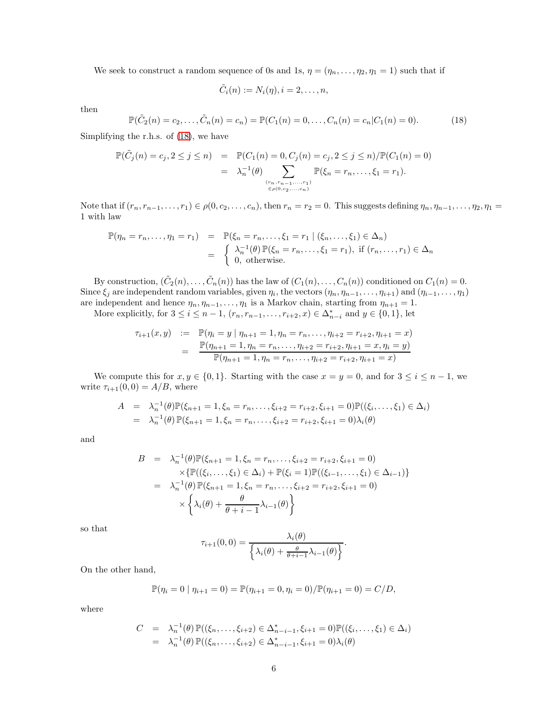We seek to construct a random sequence of 0s and 1s,  $\eta = (\eta_n, \dots, \eta_2, \eta_1 = 1)$  such that if

$$
\tilde{C}_i(n) := N_i(\eta), i = 2, \ldots, n,
$$

then

<span id="page-5-0"></span>
$$
\mathbb{P}(\tilde{C}_2(n) = c_2, \dots, \tilde{C}_n(n) = c_n) = \mathbb{P}(C_1(n) = 0, \dots, C_n(n) = c_n | C_1(n) = 0).
$$
 (18)

Simplifying the r.h.s. of [\(18\)](#page-5-0), we have

$$
\mathbb{P}(\tilde{C}_j(n) = c_j, 2 \le j \le n) = \mathbb{P}(C_1(n) = 0, C_j(n) = c_j, 2 \le j \le n) / \mathbb{P}(C_1(n) = 0)
$$
  
=  $\lambda_n^{-1}(\theta) \sum_{\substack{(r_n, r_{n-1}, \ldots, r_1) \\ \in \rho(0, c_2, \ldots, c_n)}} \mathbb{P}(\xi_n = r_n, \ldots, \xi_1 = r_1).$ 

Note that if  $(r_n, r_{n-1}, \ldots, r_1) \in \rho(0, c_2, \ldots, c_n)$ , then  $r_n = r_2 = 0$ . This suggests defining  $\eta_n, \eta_{n-1}, \ldots, \eta_2, \eta_1 =$ 1 with law

$$
\mathbb{P}(\eta_n = r_n, \dots, \eta_1 = r_1) = \mathbb{P}(\xi_n = r_n, \dots, \xi_1 = r_1 | (\xi_n, \dots, \xi_1) \in \Delta_n)
$$
  
= 
$$
\begin{cases} \lambda_n^{-1}(\theta) \mathbb{P}(\xi_n = r_n, \dots, \xi_1 = r_1), & \text{if } (r_n, \dots, r_1) \in \Delta_n \\ 0, & \text{otherwise.} \end{cases}
$$

By construction,  $(\tilde{C}_2(n), \ldots, \tilde{C}_n(n))$  has the law of  $(C_1(n), \ldots, C_n(n))$  conditioned on  $C_1(n) = 0$ . Since  $\xi_j$  are independent random variables, given  $\eta_i$ , the vectors  $(\eta_n, \eta_{n-1}, \ldots, \eta_{i+1})$  and  $(\eta_{i-1}, \ldots, \eta_1)$ are independent and hence  $\eta_n, \eta_{n-1}, \ldots, \eta_1$  is a Markov chain, starting from  $\eta_{n+1} = 1$ . More explicitly, for  $3 \le i \le n-1$ ,  $(r_n, r_{n-1}, \ldots, r_{i+2}, x) \in \Delta_{n-i}^*$  and  $y \in \{0, 1\}$ , let

$$
\tau_{i+1}(x, y) := \mathbb{P}(\eta_i = y \mid \eta_{n+1} = 1, \eta_n = r_n, \dots, \eta_{i+2} = r_{i+2}, \eta_{i+1} = x)
$$
  
= 
$$
\frac{\mathbb{P}(\eta_{n+1} = 1, \eta_n = r_n, \dots, \eta_{i+2} = r_{i+2}, \eta_{i+1} = x, \eta_i = y)}{\mathbb{P}(\eta_{n+1} = 1, \eta_n = r_n, \dots, \eta_{i+2} = r_{i+2}, \eta_{i+1} = x)}
$$

We compute this for  $x, y \in \{0, 1\}$ . Starting with the case  $x = y = 0$ , and for  $3 \le i \le n - 1$ , we write  $\tau_{i+1}(0,0) = A/B$ , where

$$
A = \lambda_n^{-1}(\theta) \mathbb{P}(\xi_{n+1} = 1, \xi_n = r_n, \dots, \xi_{i+2} = r_{i+2}, \xi_{i+1} = 0) \mathbb{P}((\xi_i, \dots, \xi_1) \in \Delta_i)
$$
  
=  $\lambda_n^{-1}(\theta) \mathbb{P}(\xi_{n+1} = 1, \xi_n = r_n, \dots, \xi_{i+2} = r_{i+2}, \xi_{i+1} = 0) \lambda_i(\theta)$ 

and

$$
B = \lambda_n^{-1}(\theta) \mathbb{P}(\xi_{n+1} = 1, \xi_n = r_n, \dots, \xi_{i+2} = r_{i+2}, \xi_{i+1} = 0)
$$
  
\n
$$
\times \{\mathbb{P}((\xi_i, \dots, \xi_1) \in \Delta_i) + \mathbb{P}(\xi_i = 1)\mathbb{P}((\xi_{i-1}, \dots, \xi_1) \in \Delta_{i-1})\}
$$
  
\n
$$
= \lambda_n^{-1}(\theta) \mathbb{P}(\xi_{n+1} = 1, \xi_n = r_n, \dots, \xi_{i+2} = r_{i+2}, \xi_{i+1} = 0)
$$
  
\n
$$
\times \{\lambda_i(\theta) + \frac{\theta}{\theta + i - 1} \lambda_{i-1}(\theta)\}
$$

so that

$$
\tau_{i+1}(0,0) = \frac{\lambda_i(\theta)}{\left\{\lambda_i(\theta) + \frac{\theta}{\theta + i - 1}\lambda_{i-1}(\theta)\right\}}.
$$

On the other hand,

$$
\mathbb{P}(\eta_i = 0 | \eta_{i+1} = 0) = \mathbb{P}(\eta_{i+1} = 0, \eta_i = 0) / \mathbb{P}(\eta_{i+1} = 0) = C/D,
$$

where

$$
C = \lambda_n^{-1}(\theta) \mathbb{P}((\xi_n, ..., \xi_{i+2}) \in \Delta_{n-i-1}^*, \xi_{i+1} = 0) \mathbb{P}((\xi_i, ..., \xi_1) \in \Delta_i)
$$
  
=  $\lambda_n^{-1}(\theta) \mathbb{P}((\xi_n, ..., \xi_{i+2}) \in \Delta_{n-i-1}^*, \xi_{i+1} = 0) \lambda_i(\theta)$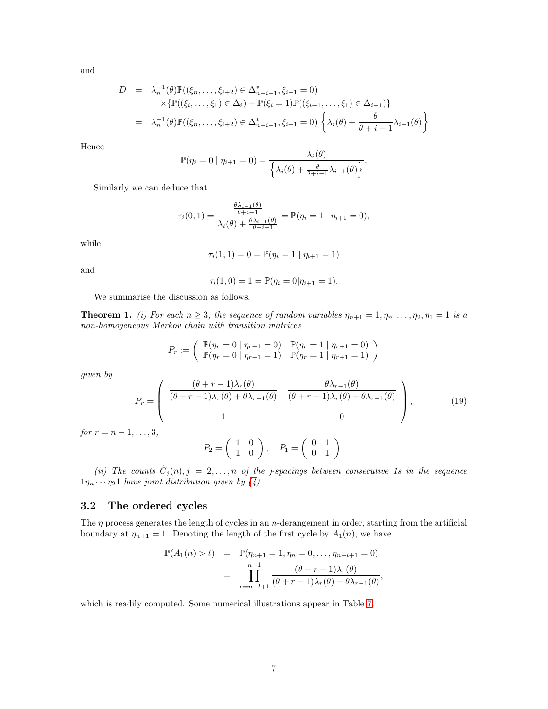and

$$
D = \lambda_n^{-1}(\theta) \mathbb{P}((\xi_n, ..., \xi_{i+2}) \in \Delta_{n-i-1}^*, \xi_{i+1} = 0)
$$
  
 
$$
\times \{\mathbb{P}((\xi_i, ..., \xi_1) \in \Delta_i) + \mathbb{P}(\xi_i = 1)\mathbb{P}((\xi_{i-1}, ..., \xi_1) \in \Delta_{i-1})\}
$$
  
 
$$
= \lambda_n^{-1}(\theta) \mathbb{P}((\xi_n, ..., \xi_{i+2}) \in \Delta_{n-i-1}^*, \xi_{i+1} = 0) \left\{ \lambda_i(\theta) + \frac{\theta}{\theta + i - 1} \lambda_{i-1}(\theta) \right\}
$$

Hence

$$
\mathbb{P}(\eta_i = 0 \mid \eta_{i+1} = 0) = \frac{\lambda_i(\theta)}{\left\{\lambda_i(\theta) + \frac{\theta}{\theta + i - 1}\lambda_{i-1}(\theta)\right\}}.
$$

Similarly we can deduce that

$$
\tau_i(0,1) = \frac{\frac{\theta \lambda_{i-1}(\theta)}{\theta + i - 1}}{\lambda_i(\theta) + \frac{\theta \lambda_{i-1}(\theta)}{\theta + i - 1}} = \mathbb{P}(\eta_i = 1 \mid \eta_{i+1} = 0),
$$

while

$$
\tau_i(1,1) = 0 = \mathbb{P}(\eta_i = 1 | \eta_{i+1} = 1)
$$

and

$$
\tau_i(1,0) = 1 = \mathbb{P}(\eta_i = 0 | \eta_{i+1} = 1).
$$

We summarise the discussion as follows.

**Theorem 1.** *(i) For each*  $n \geq 3$ *, the sequence of random variables*  $\eta_{n+1} = 1, \eta_n, \ldots, \eta_2, \eta_1 = 1$  *is a non-homogeneous Markov chain with transition matrices*

$$
P_r := \left( \begin{array}{c} \mathbb{P}(\eta_r = 0 \mid \eta_{r+1} = 0) & \mathbb{P}(\eta_r = 1 \mid \eta_{r+1} = 0) \\ \mathbb{P}(\eta_r = 0 \mid \eta_{r+1} = 1) & \mathbb{P}(\eta_r = 1 \mid \eta_{r+1} = 1) \end{array} \right)
$$

*given by*

<span id="page-6-1"></span>
$$
P_r = \begin{pmatrix} \frac{(\theta + r - 1)\lambda_r(\theta)}{(\theta + r - 1)\lambda_r(\theta) + \theta\lambda_{r-1}(\theta)} & \frac{\theta\lambda_{r-1}(\theta)}{(\theta + r - 1)\lambda_r(\theta) + \theta\lambda_{r-1}(\theta)} \\ 1 & 0 \end{pmatrix},
$$
(19)  
,...,3,

*for*  $r = n - 1$ 

$$
P_2 = \left(\begin{array}{cc} 1 & 0 \\ 1 & 0 \end{array}\right), \quad P_1 = \left(\begin{array}{cc} 0 & 1 \\ 0 & 1 \end{array}\right).
$$

(*ii*) The counts  $\tilde{C}_j(n), j = 2, \ldots, n$  of the *j*-spacings between consecutive 1s in the sequence  $1\eta_n \cdots \eta_2 1$  *have joint distribution given by*  $(4)$ *.* 

#### <span id="page-6-0"></span>3.2 The ordered cycles

The  $\eta$  process generates the length of cycles in an *n*-derangement in order, starting from the artificial boundary at  $\eta_{n+1} = 1$ . Denoting the length of the first cycle by  $A_1(n)$ , we have

$$
\mathbb{P}(A_1(n) > l) = \mathbb{P}(\eta_{n+1} = 1, \eta_n = 0, \dots, \eta_{n-l+1} = 0)
$$
  
= 
$$
\prod_{r=n-l+1}^{n-1} \frac{(\theta + r - 1)\lambda_r(\theta)}{(\theta + r - 1)\lambda_r(\theta) + \theta\lambda_{r-1}(\theta)},
$$

which is readily computed. Some numerical illustrations appear in Table [7.](#page-10-0)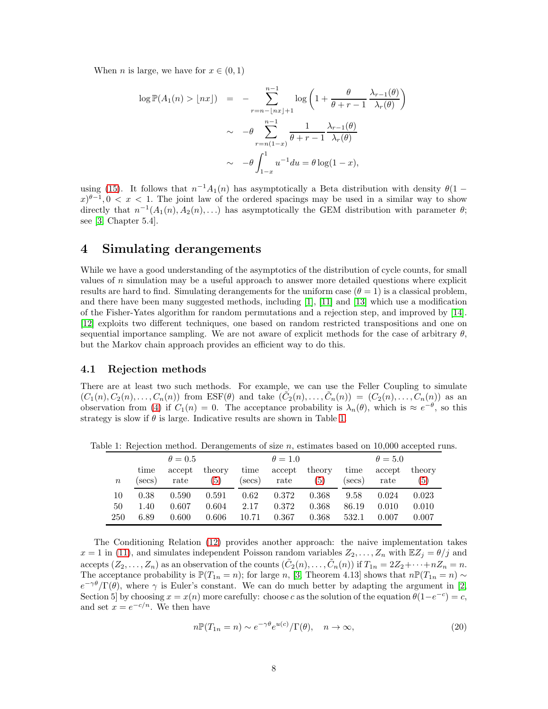When *n* is large, we have for  $x \in (0, 1)$ 

$$
\log \mathbb{P}(A_1(n) > \lfloor nx \rfloor) = -\sum_{r=n-\lfloor nx \rfloor+1}^{n-1} \log \left(1 + \frac{\theta}{\theta + r - 1} \frac{\lambda_{r-1}(\theta)}{\lambda_r(\theta)}\right)
$$

$$
\sim -\theta \sum_{r=n(1-x)}^{n-1} \frac{1}{\theta + r - 1} \frac{\lambda_{r-1}(\theta)}{\lambda_r(\theta)}
$$

$$
\sim -\theta \int_{1-x}^1 u^{-1} du = \theta \log(1-x),
$$

using [\(15\)](#page-3-3). It follows that  $n^{-1}A_1(n)$  has asymptotically a Beta distribution with density  $\theta(1 (x)^{\theta-1}$ ,  $0 < x < 1$ . The joint law of the ordered spacings may be used in a similar way to show directly that  $n^{-1}(A_1(n), A_2(n), ...)$  has asymptotically the GEM distribution with parameter  $\theta$ ; see [\[3,](#page-11-2) Chapter 5.4].

### 4 Simulating derangements

While we have a good understanding of the asymptotics of the distribution of cycle counts, for small values of  $n$  simulation may be a useful approach to answer more detailed questions where explicit results are hard to find. Simulating derangements for the uniform case  $(\theta = 1)$  is a classical problem, and there have been many suggested methods, including [\[1\]](#page-11-8), [\[11\]](#page-11-9) and [\[13\]](#page-12-1) which use a modification of the Fisher-Yates algorithm for random permutations and a rejection step, and improved by [\[14\]](#page-12-2). [\[12\]](#page-12-3) exploits two different techniques, one based on random restricted transpositions and one on sequential importance sampling. We are not aware of explicit methods for the case of arbitrary  $\theta$ , but the Markov chain approach provides an efficient way to do this.

### 4.1 Rejection methods

There are at least two such methods. For example, we can use the Feller Coupling to simulate  $(C_1(n), C_2(n), \ldots, C_n(n))$  from  $\text{ESF}(\theta)$  and take  $(\tilde{C}_2(n), \ldots, \tilde{C}_n(n)) = (C_2(n), \ldots, C_n(n))$  as an observation from [\(4\)](#page-1-0) if  $C_1(n) = 0$ . The acceptance probability is  $\lambda_n(\theta)$ , which is  $\approx e^{-\theta}$ , so this strategy is slow if  $\theta$  is large. Indicative results are shown in Table [1.](#page-7-0)

Table 1: Rejection method. Derangements of size n, estimates based on 10,000 accepted runs.

<span id="page-7-0"></span>

|                  |        | $\theta = 0.5$ |        |        | $\theta = 1.0$ |        |        | $\theta = 5.0$ |        |
|------------------|--------|----------------|--------|--------|----------------|--------|--------|----------------|--------|
|                  | time   | accept         | theory | time   | accept         | theory | time   | accept         | theory |
| $\boldsymbol{n}$ | (secs) | rate           | (5)    | (secs) | rate           | (5)    | (secs) | rate           | 5)     |
| 10               | 0.38   | 0.590          | 0.591  | 0.62   | 0.372          | 0.368  | 9.58   | 0.024          | 0.023  |
| 50               | 1.40   | 0.607          | 0.604  | 2.17   | 0.372          | 0.368  | 86.19  | 0.010          | 0.010  |
| 250              | 6.89   | 0.600          | 0.606  | 10.71  | 0.367          | 0.368  | 532.1  | 0.007          | 0.007  |

The Conditioning Relation [\(12\)](#page-3-2) provides another approach: the naive implementation takes  $x = 1$  in [\(11\)](#page-3-4), and simulates independent Poisson random variables  $Z_2, \ldots, Z_n$  with  $\mathbb{E}Z_j = \theta/j$  and accepts  $(Z_2, \ldots, Z_n)$  as an observation of the counts  $(\tilde{C}_2(n), \ldots, \tilde{C}_n(n))$  if  $T_{1n} = 2Z_2 + \cdots + nZ_n = n$ . The acceptance probability is  $\mathbb{P}(T_{1n} = n)$ ; for large n, [\[3,](#page-11-2) Theorem 4.13] shows that  $n\mathbb{P}(T_{1n} = n) \sim$  $e^{-\gamma\theta}/\Gamma(\theta)$ , where  $\gamma$  is Euler's constant. We can do much better by adapting the argument in [\[2,](#page-11-10) Section 5] by choosing  $x = x(n)$  more carefully: choose c as the solution of the equation  $\theta(1-e^{-c}) = c$ , and set  $x = e^{-c/n}$ . We then have

<span id="page-7-1"></span>
$$
n\mathbb{P}(T_{1n} = n) \sim e^{-\gamma\theta} e^{u(c)} / \Gamma(\theta), \quad n \to \infty,
$$
\n(20)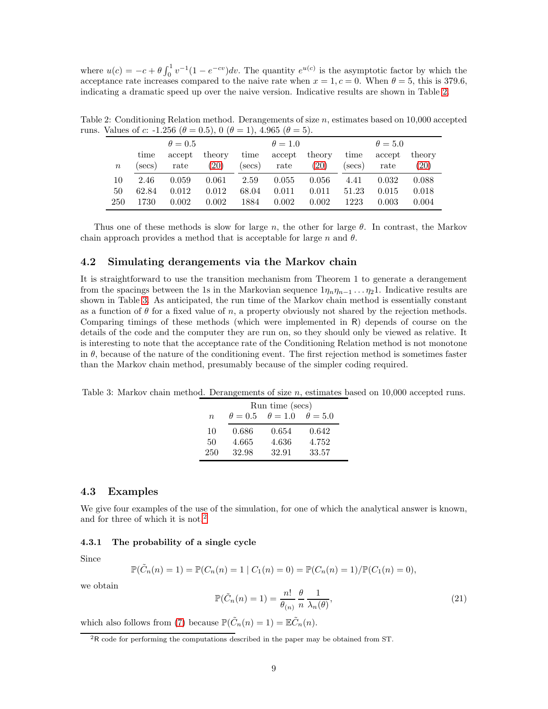where  $u(c) = -c + \theta \int_0^1 v^{-1} (1 - e^{-cv}) dv$ . The quantity  $e^{u(c)}$  is the asymptotic factor by which the acceptance rate increases compared to the naive rate when  $x = 1, c = 0$ . When  $\theta = 5$ , this is 379.6, indicating a dramatic speed up over the naive version. Indicative results are shown in Table [2.](#page-8-1)

<span id="page-8-1"></span>

|         | $1.01 \times 100 = 0.1$ $1.20 \times 100 = 0.00$ |                | 0.011010 |        |                |        |        |                |        |
|---------|--------------------------------------------------|----------------|----------|--------|----------------|--------|--------|----------------|--------|
|         |                                                  | $\theta = 0.5$ |          |        | $\theta = 1.0$ |        |        | $\theta = 5.0$ |        |
|         | time                                             | accept         | theory   | time   | accept         | theory | time   | accept         | theory |
| $\it n$ | secs)                                            | rate           | (20)     | (secs) | rate           | (20)   | (secs) | rate           | (20)   |
| 10      | 2.46                                             | 0.059          | 0.061    | 2.59   | 0.055          | 0.056  | 4.41   | 0.032          | 0.088  |
| 50      | 62.84                                            | 0.012          | 0.012    | 68.04  | 0.011          | 0.011  | 51.23  | 0.015          | 0.018  |
| 250     | 1730                                             | 0.002          | 0.002    | 1884   | 0.002          | 0.002  | 1223   | 0.003          | 0.004  |

Table 2: Conditioning Relation method. Derangements of size n, estimates based on  $10,000$  accepted runs. Values of c: -1.256 ( $\theta = 0.5$ ), 0 ( $\theta = 1$ ), 4.965 ( $\theta = 5$ ).

Thus one of these methods is slow for large n, the other for large  $\theta$ . In contrast, the Markov chain approach provides a method that is acceptable for large n and  $\theta$ .

### 4.2 Simulating derangements via the Markov chain

It is straightforward to use the transition mechanism from Theorem 1 to generate a derangement from the spacings between the 1s in the Markovian sequence  $1\eta_n\eta_{n-1} \ldots \eta_2$ 1. Indicative results are shown in Table [3.](#page-8-2) As anticipated, the run time of the Markov chain method is essentially constant as a function of  $\theta$  for a fixed value of n, a property obviously not shared by the rejection methods. Comparing timings of these methods (which were implemented in R) depends of course on the details of the code and the computer they are run on, so they should only be viewed as relative. It is interesting to note that the acceptance rate of the Conditioning Relation method is not monotone in  $\theta$ , because of the nature of the conditioning event. The first rejection method is sometimes faster than the Markov chain method, presumably because of the simpler coding required.

<span id="page-8-2"></span>Table 3: Markov chain method. Derangements of size n, estimates based on 10,000 accepted runs.

|                  | Run time (secs) |                |                |  |  |  |  |  |  |  |  |
|------------------|-----------------|----------------|----------------|--|--|--|--|--|--|--|--|
| $\boldsymbol{n}$ | $\theta = 0.5$  | $\theta = 1.0$ | $\theta = 5.0$ |  |  |  |  |  |  |  |  |
| 10               | 0.686           | 0.654          | 0.642          |  |  |  |  |  |  |  |  |
| 50               | 4.665           | 4.636          | 4.752          |  |  |  |  |  |  |  |  |
| 250              | 32.98           | 32.91          | 33.57          |  |  |  |  |  |  |  |  |

### <span id="page-8-5"></span>4.3 Examples

We give four examples of the use of the simulation, for one of which the analytical answer is known, and for three of which it is not.[2](#page-8-3)

### <span id="page-8-0"></span>4.3.1 The probability of a single cycle

Since

$$
\mathbb{P}(\tilde{C}_n(n) = 1) = \mathbb{P}(C_n(n) = 1 | C_1(n) = 0) = \mathbb{P}(C_n(n) = 1)/\mathbb{P}(C_1(n) = 0),
$$

we obtain

<span id="page-8-4"></span>
$$
\mathbb{P}(\tilde{C}_n(n) = 1) = \frac{n!}{\theta(n)} \frac{\theta}{n} \frac{1}{\lambda_n(\theta)},\tag{21}
$$

which also follows from [\(7\)](#page-1-4) because  $\mathbb{P}(\tilde{C}_n(n) = 1) = \mathbb{E}\tilde{C}_n(n)$ .

<span id="page-8-3"></span><sup>&</sup>lt;sup>2</sup>R code for performing the computations described in the paper may be obtained from ST.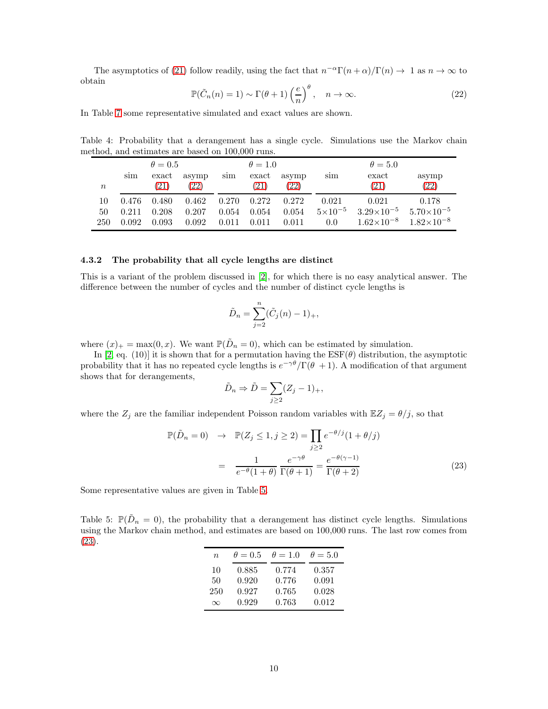The asymptotics of [\(21\)](#page-8-4) follow readily, using the fact that  $n^{-\alpha}\Gamma(n+\alpha)/\Gamma(n) \to 1$  as  $n \to \infty$  to obtain

<span id="page-9-0"></span>
$$
\mathbb{P}(\tilde{C}_n(n) = 1) \sim \Gamma(\theta + 1) \left(\frac{e}{n}\right)^{\theta}, \quad n \to \infty.
$$
 (22)

In Table [7](#page-10-0) some representative simulated and exact values are shown.

 $\theta = 0.5$   $\theta = 1.0$   $\theta = 5.0$ sim exact asymp sim exact asymp sim exact asymp  $n$  [\(21\)](#page-8-4) [\(22\)](#page-9-0) [\(21\)](#page-8-4) (22) (21) (22) 10 0.476 0.480 0.462 0.270 0.272 0.272 0.021 0.021 0.178 50 0.211 0.208 0.207 0.054 0.054 0.054  $5 \times 10^{-5}$   $3.29 \times 10^{-5}$   $5.70 \times 10^{-5}$  $250$   $0.092$   $0.093$   $0.092$   $0.011$   $0.011$   $0.011$   $0.0$   $1.62 \times 10^{-8}$   $1.82 \times 10^{-8}$ 

Table 4: Probability that a derangement has a single cycle. Simulations use the Markov chain method, and estimates are based on 100,000 runs.

#### 4.3.2 The probability that all cycle lengths are distinct

This is a variant of the problem discussed in [\[2\]](#page-11-10), for which there is no easy analytical answer. The difference between the number of cycles and the number of distinct cycle lengths is

$$
\tilde{D}_n = \sum_{j=2}^n (\tilde{C}_j(n) - 1)_+,
$$

where  $(x)_+ = \max(0, x)$ . We want  $\mathbb{P}(\tilde{D}_n = 0)$ , which can be estimated by simulation.

In [\[2,](#page-11-10) eq. (10)] it is shown that for a permutation having the  $\text{ESF}(\theta)$  distribution, the asymptotic probability that it has no repeated cycle lengths is  $e^{-\gamma\theta}/\Gamma(\theta + 1)$ . A modification of that argument shows that for derangements,

$$
\tilde{D}_n \Rightarrow \tilde{D} = \sum_{j \ge 2} (Z_j - 1)_+,
$$

where the  $Z_j$  are the familiar independent Poisson random variables with  $\mathbb{E}Z_j = \theta/j$ , so that

<span id="page-9-2"></span>
$$
\mathbb{P}(\tilde{D}_n = 0) \rightarrow \mathbb{P}(Z_j \le 1, j \ge 2) = \prod_{j \ge 2} e^{-\theta/j} (1 + \theta/j)
$$

$$
= \frac{1}{e^{-\theta}(1 + \theta)} \frac{e^{-\gamma \theta}}{\Gamma(\theta + 1)} = \frac{e^{-\theta(\gamma - 1)}}{\Gamma(\theta + 2)}
$$
(23)

Some representative values are given in Table [5.](#page-9-1)

<span id="page-9-1"></span>Table 5:  $\mathbb{P}(\tilde{D}_n = 0)$ , the probability that a derangement has distinct cycle lengths. Simulations using the Markov chain method, and estimates are based on 100,000 runs. The last row comes from [\(23\)](#page-9-2).

| $n_{\rm c}$ | $\theta = 0.5$ | $\theta = 1.0$ | $\theta = 5.0$ |
|-------------|----------------|----------------|----------------|
| 10          | 0.885          | 0.774          | 0.357          |
| 50          | 0.920          | 0.776          | 0.091          |
| 250         | 0.927          | 0.765          | 0.028          |
| $\infty$    | 0.929          | 0.763          | 0.012          |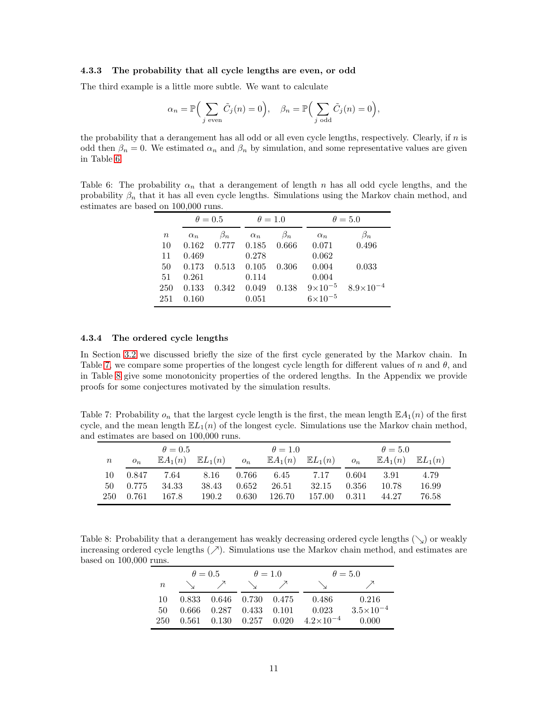#### 4.3.3 The probability that all cycle lengths are even, or odd

The third example is a little more subtle. We want to calculate

$$
\alpha_n = \mathbb{P}\Big(\sum_{j \text{ even}} \tilde{C}_j(n) = 0\Big), \quad \beta_n = \mathbb{P}\Big(\sum_{j \text{ odd}} \tilde{C}_j(n) = 0\Big),\
$$

the probability that a derangement has all odd or all even cycle lengths, respectively. Clearly, if n is odd then  $\beta_n = 0$ . We estimated  $\alpha_n$  and  $\beta_n$  by simulation, and some representative values are given in Table [6.](#page-10-1)

<span id="page-10-1"></span>Table 6: The probability  $\alpha_n$  that a derangement of length n has all odd cycle lengths, and the probability  $\beta_n$  that it has all even cycle lengths. Simulations using the Markov chain method, and estimates are based on 100,000 runs.

|       | $\theta = 0.5$ |           | $\theta = 1.0$ |           |                    | $\theta = 5.0$       |
|-------|----------------|-----------|----------------|-----------|--------------------|----------------------|
| $\,n$ | $\alpha_n$     | $\beta_n$ | $\alpha_n$     | $\beta_n$ | $\alpha_n$         | $\beta_n$            |
| 10    | 0.162          | 0.777     | 0.185          | 0.666     | 0.071              | 0.496                |
| 11    | 0.469          |           | 0.278          |           | 0.062              |                      |
| 50    | 0.173          | 0.513     | 0.105          | 0.306     | 0.004              | 0.033                |
| -51   | 0.261          |           | 0.114          |           | 0.004              |                      |
| 250   | 0.133          | 0.342     | 0.049          | 0.138     | $9 \times 10^{-5}$ | $8.9 \times 10^{-4}$ |
| 251   | 0.160          |           | 0.051          |           | $6\times10^{-5}$   |                      |

#### 4.3.4 The ordered cycle lengths

In Section [3.2](#page-6-0) we discussed briefly the size of the first cycle generated by the Markov chain. In Table [7,](#page-10-0) we compare some properties of the longest cycle length for different values of n and  $\theta$ , and in Table [8](#page-10-2) give some monotonicity properties of the ordered lengths. In the Appendix we provide proofs for some conjectures motivated by the simulation results.

Table 7: Probability  $o_n$  that the largest cycle length is the first, the mean length  $\mathbb{E}A_1(n)$  of the first cycle, and the mean length  $E_1(n)$  of the longest cycle. Simulations use the Markov chain method, and estimates are based on 100,000 runs.

<span id="page-10-0"></span>

|        | $\theta = 0.5$ |                    |                    | $\theta = 1.0$ |        |                                       | $\theta = 5.0$ |                                       |       |
|--------|----------------|--------------------|--------------------|----------------|--------|---------------------------------------|----------------|---------------------------------------|-------|
| $\, n$ | $O_n$          | $\mathbb{E}A_1(n)$ | $\mathbb{E}L_1(n)$ | $o_n$          |        | $\mathbb{E}A_1(n)$ $\mathbb{E}L_1(n)$ | $O_n$          | $\mathbb{E}A_1(n)$ $\mathbb{E}L_1(n)$ |       |
| 10     | 0.847          | 7.64               | 8.16               | 0.766          | 6.45   | 7.17                                  | 0.604          | -3.91                                 | 4.79  |
| 50     | 0.775          | 34.33              | 38.43              | 0.652          | 26.51  | 32.15                                 | -0.356         | 10.78                                 | 16.99 |
| 250    | 0.761          | 167.8              | 190.2              | 0.630          | 126.70 | 157.00                                | 0.311          | 44.27                                 | 76.58 |

<span id="page-10-2"></span>Table 8: Probability that a derangement has weakly decreasing ordered cycle lengths  $(\searrow)$  or weakly increasing ordered cycle lengths  $(\nearrow)$ . Simulations use the Markov chain method, and estimates are based on 100,000 runs.

|        | $\theta = 0.5$ |                                 | $\theta = 1.0$ |  |                                                    | $\theta = 5.0$       |
|--------|----------------|---------------------------------|----------------|--|----------------------------------------------------|----------------------|
| $\, n$ |                |                                 |                |  |                                                    |                      |
| 10.    |                | 0.833 0.646 0.730 0.475         |                |  | 0.486                                              | 0.216                |
| 50     |                | $0.666$ $0.287$ $0.433$ $0.101$ |                |  | 0.023                                              | $3.5 \times 10^{-4}$ |
|        |                |                                 |                |  | $250$ 0.561 0.130 0.257 0.020 $4.2 \times 10^{-4}$ | 0.000                |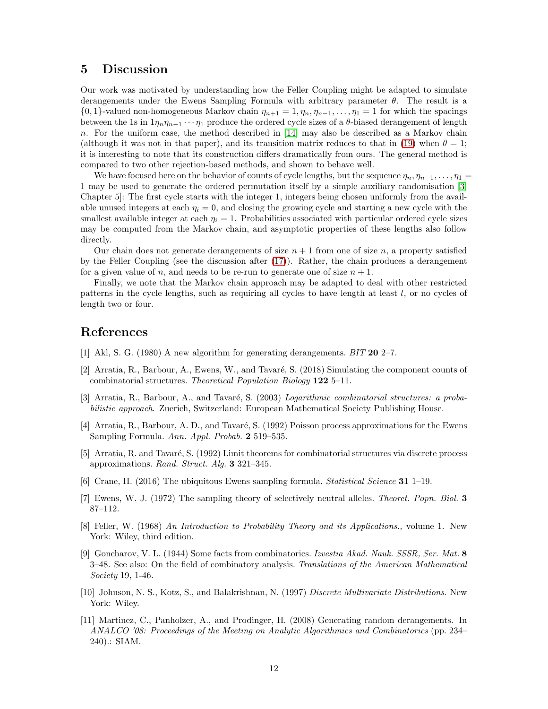## 5 Discussion

Our work was motivated by understanding how the Feller Coupling might be adapted to simulate derangements under the Ewens Sampling Formula with arbitrary parameter  $\theta$ . The result is a  $\{0, 1\}$ -valued non-homogeneous Markov chain  $\eta_{n+1} = 1, \eta_n, \eta_{n-1}, \ldots, \eta_1 = 1$  for which the spacings between the 1s in  $1\eta_n\eta_{n-1}\cdots\eta_1$  produce the ordered cycle sizes of a  $\theta$ -biased derangement of length n. For the uniform case, the method described in [\[14\]](#page-12-2) may also be described as a Markov chain (although it was not in that paper), and its transition matrix reduces to that in [\(19\)](#page-6-1) when  $\theta = 1$ ; it is interesting to note that its construction differs dramatically from ours. The general method is compared to two other rejection-based methods, and shown to behave well.

We have focused here on the behavior of counts of cycle lengths, but the sequence  $\eta_n, \eta_{n-1}, \ldots, \eta_1 =$ 1 may be used to generate the ordered permutation itself by a simple auxiliary randomisation [\[3,](#page-11-2) Chapter 5]: The first cycle starts with the integer 1, integers being chosen uniformly from the available unused integers at each  $\eta_i = 0$ , and closing the growing cycle and starting a new cycle with the smallest available integer at each  $\eta_i = 1$ . Probabilities associated with particular ordered cycle sizes may be computed from the Markov chain, and asymptotic properties of these lengths also follow directly.

Our chain does not generate derangements of size  $n + 1$  from one of size n, a property satisfied by the Feller Coupling (see the discussion after [\(17\)](#page-4-1)). Rather, the chain produces a derangement for a given value of n, and needs to be re-run to generate one of size  $n + 1$ .

Finally, we note that the Markov chain approach may be adapted to deal with other restricted patterns in the cycle lengths, such as requiring all cycles to have length at least l, or no cycles of length two or four.

## <span id="page-11-8"></span>References

- <span id="page-11-10"></span>[1] Akl, S. G. (1980) A new algorithm for generating derangements. *BIT* 20 2–7.
- [2] Arratia, R., Barbour, A., Ewens, W., and Tavaré, S. (2018) Simulating the component counts of combinatorial structures. *Theoretical Population Biology* 122 5–11.
- <span id="page-11-2"></span>[3] Arratia, R., Barbour, A., and Tavaré, S. (2003) *Logarithmic combinatorial structures: a probabilistic approach*. Zuerich, Switzerland: European Mathematical Society Publishing House.
- <span id="page-11-7"></span>[4] Arratia, R., Barbour, A. D., and Tavaré, S. (1992) Poisson process approximations for the Ewens Sampling Formula. *Ann. Appl. Probab.* 2 519–535.
- <span id="page-11-6"></span>[5] Arratia, R. and Tavaré, S. (1992) Limit theorems for combinatorial structures via discrete process approximations. *Rand. Struct. Alg.* 3 321–345.
- <span id="page-11-3"></span><span id="page-11-0"></span>[6] Crane, H. (2016) The ubiquitous Ewens sampling formula. *Statistical Science* 31 1–19.
- <span id="page-11-5"></span>[7] Ewens, W. J. (1972) The sampling theory of selectively neutral alleles. *Theoret. Popn. Biol.* 3 87–112.
- [8] Feller, W. (1968) *An Introduction to Probability Theory and its Applications.*, volume 1. New York: Wiley, third edition.
- <span id="page-11-4"></span>[9] Goncharov, V. L. (1944) Some facts from combinatorics. *Izvestia Akad. Nauk. SSSR, Ser. Mat.* 8 3–48. See also: On the field of combinatory analysis. *Translations of the American Mathematical Society* 19, 1-46.
- <span id="page-11-1"></span>[10] Johnson, N. S., Kotz, S., and Balakrishnan, N. (1997) *Discrete Multivariate Distributions*. New York: Wiley.
- <span id="page-11-9"></span>[11] Martinez, C., Panholzer, A., and Prodinger, H. (2008) Generating random derangements. In *ANALCO '08: Proceedings of the Meeting on Analytic Algorithmics and Combinatorics* (pp. 234– 240).: SIAM.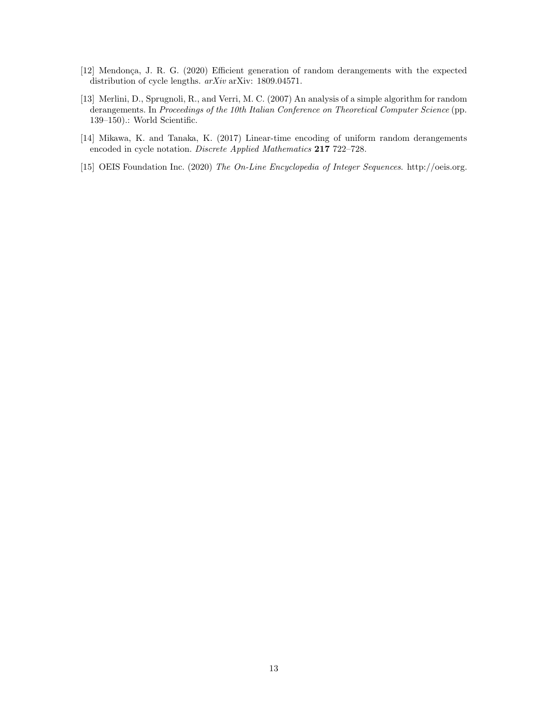- <span id="page-12-3"></span>[12] Mendonça, J. R. G. (2020) Efficient generation of random derangements with the expected distribution of cycle lengths. *arXiv* arXiv: 1809.04571.
- <span id="page-12-1"></span>[13] Merlini, D., Sprugnoli, R., and Verri, M. C. (2007) An analysis of a simple algorithm for random derangements. In *Proceedings of the 10th Italian Conference on Theoretical Computer Science* (pp. 139–150).: World Scientific.
- <span id="page-12-2"></span>[14] Mikawa, K. and Tanaka, K. (2017) Linear-time encoding of uniform random derangements encoded in cycle notation. *Discrete Applied Mathematics* 217 722–728.
- <span id="page-12-0"></span>[15] OEIS Foundation Inc. (2020) *The On-Line Encyclopedia of Integer Sequences*. http://oeis.org.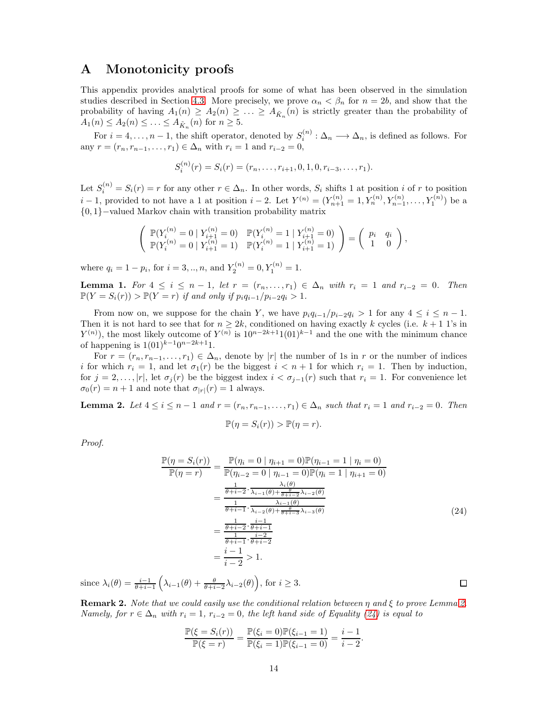### A Monotonicity proofs

This appendix provides analytical proofs for some of what has been observed in the simulation studies described in Section [4.3.](#page-8-5) More precisely, we prove  $\alpha_n < \beta_n$  for  $n = 2b$ , and show that the probability of having  $A_1(n) \geq A_2(n) \geq \ldots \geq A_{\tilde{K}_n}(n)$  is strictly greater than the probability of  $A_1(n) \le A_2(n) \le \ldots \le A_{\tilde{K}_n}(n)$  for  $n \ge 5$ .

For  $i = 4, \ldots, n-1$ , the shift operator, denoted by  $S_i^{(n)} : \Delta_n \longrightarrow \Delta_n$ , is defined as follows. For any  $r = (r_n, r_{n-1}, \ldots, r_1) \in \Delta_n$  with  $r_i = 1$  and  $r_{i-2} = 0$ ,

$$
S_i^{(n)}(r) = S_i(r) = (r_n, \ldots, r_{i+1}, 0, 1, 0, r_{i-3}, \ldots, r_1).
$$

Let  $S_i^{(n)} = S_i(r) = r$  for any other  $r \in \Delta_n$ . In other words,  $S_i$  shifts 1 at position i of r to position  $i-1$ , provided to not have a 1 at position  $i-2$ . Let  $Y^{(n)} = (Y^{(n)}_{n+1} = 1, Y^{(n)}_n, Y^{(n)}_{n-1}, \ldots, Y^{(n)}_1)$  be a {0, 1}−valued Markov chain with transition probability matrix

$$
\left( \begin{array}{c} \mathbb{P}(Y_i^{(n)}=0\mid Y_{i+1}^{(n)}=0) & \mathbb{P}(Y_i^{(n)}=1\mid Y_{i+1}^{(n)}=0) \\ \mathbb{P}(Y_i^{(n)}=0\mid Y_{i+1}^{(n)}=1) & \mathbb{P}(Y_i^{(n)}=1\mid Y_{i+1}^{(n)}=1) \end{array} \right) = \left( \begin{array}{cc} p_i & q_i \\ 1 & 0 \end{array} \right),
$$

where  $q_i = 1 - p_i$ , for  $i = 3, ..., n$ , and  $Y_2^{(n)} = 0, Y_1^{(n)} = 1$ .

<span id="page-13-2"></span>Lemma 1. *For*  $4 \le i \le n-1$ , *let*  $r = (r_n, \ldots, r_1) \in \Delta_n$  *with*  $r_i = 1$  *and*  $r_{i-2} = 0$ . *Then*  $\mathbb{P}(Y = S_i(r)) > \mathbb{P}(Y = r)$  *if and only if*  $p_i q_{i-1}/p_{i-2} q_i > 1$ *.* 

From now on, we suppose for the chain Y, we have  $p_iq_{i-1}/p_{i-2}q_i > 1$  for any  $4 \leq i \leq n-1$ . Then it is not hard to see that for  $n \geq 2k$ , conditioned on having exactly k cycles (i.e.  $k + 1$  1's in  $Y^{(n)}$ ), the most likely outcome of  $Y^{(n)}$  is  $10^{n-2k+1}1(01)^{k-1}$  and the one with the minimum chance of happening is  $1(01)^{k-1}0^{n-2k+1}1$ .

For  $r = (r_n, r_{n-1}, \ldots, r_1) \in \Delta_n$ , denote by |r| the number of 1s in r or the number of indices i for which  $r_i = 1$ , and let  $\sigma_1(r)$  be the biggest  $i < n + 1$  for which  $r_i = 1$ . Then by induction, for  $j = 2, \ldots, |r|$ , let  $\sigma_i(r)$  be the biggest index  $i < \sigma_{i-1}(r)$  such that  $r_i = 1$ . For convenience let  $\sigma_0(r) = n + 1$  and note that  $\sigma_{|r|}(r) = 1$  always.

<span id="page-13-0"></span>**Lemma 2.** *Let*  $4 \le i \le n - 1$  *and*  $r = (r_n, r_{n-1}, \ldots, r_1) \in \Delta_n$  *such that*  $r_i = 1$  *and*  $r_{i-2} = 0$ *. Then* 

$$
\mathbb{P}(\eta = S_i(r)) > \mathbb{P}(\eta = r).
$$

*Proof.*

$$
\frac{\mathbb{P}(\eta = S_i(r))}{\mathbb{P}(\eta = r)} = \frac{\mathbb{P}(\eta_i = 0 \mid \eta_{i+1} = 0)\mathbb{P}(\eta_{i-1} = 1 \mid \eta_i = 0)}{\mathbb{P}(\eta_{i-2} = 0 \mid \eta_{i-1} = 0)\mathbb{P}(\eta_i = 1 \mid \eta_{i+1} = 0)}
$$
\n
$$
= \frac{\frac{1}{\theta + i - 2} \cdot \frac{\lambda_i(\theta)}{\lambda_{i-1}(\theta) + \frac{\lambda_i}{\theta + i - 2} \lambda_{i-2}(\theta)}}{\frac{1}{\theta + i - 1} \cdot \frac{\lambda_{i-1}(\theta)}{\lambda_{i-2}(\theta) + \frac{\theta}{\theta + i - 3} \lambda_{i-3}(\theta)}}
$$
\n
$$
= \frac{\frac{1}{\theta + i - 2} \cdot \frac{i - 1}{\theta + i - 1}}{\frac{1}{\theta + i - 1} \cdot \frac{i - 2}{\theta + i - 2}}
$$
\n
$$
= \frac{i - 1}{i - 2} > 1.
$$
\n(24)

<span id="page-13-1"></span>since  $\lambda_i(\theta) = \frac{i-1}{\theta+i-1} \left( \lambda_{i-1}(\theta) + \frac{\theta}{\theta+i-2} \lambda_{i-2}(\theta) \right)$ , for  $i \geq 3$ .

Remark 2. *Note that we could easily use the conditional relation between* η *and* ξ *to prove Lemma [2.](#page-13-0) Namely, for*  $r \in \Delta_n$  *with*  $r_i = 1$ ,  $r_{i-2} = 0$ , the left hand side of Equality [\(24\)](#page-13-1) is equal to

$$
\frac{\mathbb{P}(\xi = S_i(r))}{\mathbb{P}(\xi = r)} = \frac{\mathbb{P}(\xi_i = 0)\mathbb{P}(\xi_{i-1} = 1)}{\mathbb{P}(\xi_i = 1)\mathbb{P}(\xi_{i-1} = 0)} = \frac{i-1}{i-2}.
$$

 $\Box$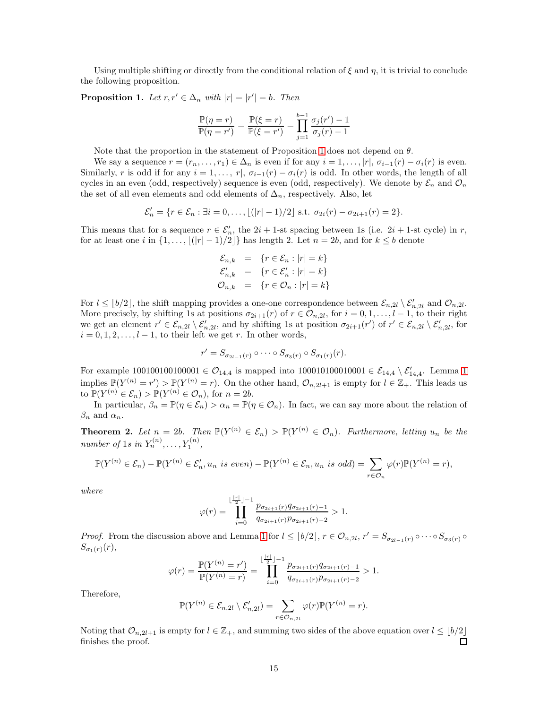Using multiple shifting or directly from the conditional relation of  $\xi$  and  $\eta$ , it is trivial to conclude the following proposition.

<span id="page-14-0"></span>**Proposition 1.** Let  $r, r' \in \Delta_n$  with  $|r| = |r'| = b$ . Then

$$
\frac{\mathbb{P}(\eta = r)}{\mathbb{P}(\eta = r')} = \frac{\mathbb{P}(\xi = r)}{\mathbb{P}(\xi = r')} = \prod_{j=1}^{b-1} \frac{\sigma_j(r') - 1}{\sigma_j(r) - 1}
$$

Note that the proportion in the statement of Proposition [1](#page-14-0) does not depend on  $\theta$ .

We say a sequence  $r = (r_n, \ldots, r_1) \in \Delta_n$  is even if for any  $i = 1, \ldots, |r|$ ,  $\sigma_{i-1}(r) - \sigma_i(r)$  is even. Similarly, r is odd if for any  $i = 1, \ldots, |r|$ ,  $\sigma_{i-1}(r) - \sigma_i(r)$  is odd. In other words, the length of all cycles in an even (odd, respectively) sequence is even (odd, respectively). We denote by  $\mathcal{E}_n$  and  $\mathcal{O}_n$ the set of all even elements and odd elements of  $\Delta_n$ , respectively. Also, let

$$
\mathcal{E}'_n = \{r \in \mathcal{E}_n : \exists i = 0, \ldots, \lfloor (|r| - 1)/2 \rfloor \text{ s.t. } \sigma_{2i}(r) - \sigma_{2i+1}(r) = 2 \}.
$$

This means that for a sequence  $r \in \mathcal{E}'_n$ , the 2i + 1-st spacing between 1s (i.e. 2i + 1-st cycle) in r, for at least one i in  $\{1, \ldots, \lfloor (|r|-1)/2 \rfloor \}$  has length 2. Let  $n = 2b$ , and for  $k \leq b$  denote

$$
\mathcal{E}_{n,k} = \{r \in \mathcal{E}_n : |r| = k\}
$$
  

$$
\mathcal{E}'_{n,k} = \{r \in \mathcal{E}'_n : |r| = k\}
$$
  

$$
\mathcal{O}_{n,k} = \{r \in \mathcal{O}_n : |r| = k\}
$$

For  $l \leq \lfloor b/2 \rfloor$ , the shift mapping provides a one-one correspondence between  $\mathcal{E}_{n,2l} \setminus \mathcal{E}'_{n,2l}$  and  $\mathcal{O}_{n,2l}$ . More precisely, by shifting 1s at positions  $\sigma_{2i+1}(r)$  of  $r \in \mathcal{O}_{n,2l}$ , for  $i = 0, 1, \ldots, l-1$ , to their right we get an element  $r' \in \mathcal{E}_{n,2l} \setminus \mathcal{E}'_{n,2l}$ , and by shifting 1s at position  $\sigma_{2i+1}(r')$  of  $r' \in \mathcal{E}_{n,2l} \setminus \mathcal{E}'_{n,2l}$ , for  $i = 0, 1, 2, \ldots, l - 1$ , to their left we get r. In other words,

$$
r' = S_{\sigma_{2l-1}(r)} \circ \cdots \circ S_{\sigma_3(r)} \circ S_{\sigma_1(r)}(r).
$$

For example [1](#page-13-2)00100100100001  $\in \mathcal{O}_{14,4}$  is mapped into 100010100010001  $\in \mathcal{E}_{14,4} \setminus \mathcal{E}'_{14,4}$ . Lemma 1 implies  $\mathbb{P}(Y^{(n)} = r') > \mathbb{P}(Y^{(n)} = r)$ . On the other hand,  $\mathcal{O}_{n,2l+1}$  is empty for  $l \in \mathbb{Z}_+$ . This leads us to  $\mathbb{P}(Y^{(n)} \in \mathcal{E}_n) > \mathbb{P}(Y^{(n)} \in \mathcal{O}_n)$ , for  $n = 2b$ .

In particular,  $\beta_n = \mathbb{P}(\eta \in \mathcal{E}_n) > \alpha_n = \mathbb{P}(\eta \in \mathcal{O}_n)$ . In fact, we can say more about the relation of  $\beta_n$  and  $\alpha_n$ .

**Theorem 2.** Let  $n = 2b$ . Then  $\mathbb{P}(Y^{(n)} \in \mathcal{E}_n) > \mathbb{P}(Y^{(n)} \in \mathcal{O}_n)$ . Furthermore, letting  $u_n$  be the *number of* 1*s in*  $Y_n^{(n)}, \ldots, Y_1^{(n)}$ ,

$$
\mathbb{P}(Y^{(n)} \in \mathcal{E}_n) - \mathbb{P}(Y^{(n)} \in \mathcal{E}'_n, u_n \text{ is even}) - \mathbb{P}(Y^{(n)} \in \mathcal{E}_n, u_n \text{ is odd}) = \sum_{r \in \mathcal{O}_n} \varphi(r) \mathbb{P}(Y^{(n)} = r),
$$

*where*

$$
\varphi(r) = \prod_{i=0}^{\lfloor \frac{|r|}{2} \rfloor - 1} \frac{p_{\sigma_{2i+1}(r)} q_{\sigma_{2i+1}(r)-1}}{q_{\sigma_{2i+1}(r)} p_{\sigma_{2i+1}(r)-2}} > 1.
$$

*Proof.* From the discussion above and Lemma [1](#page-13-2) for  $l \leq \lfloor b/2 \rfloor$ ,  $r \in \mathcal{O}_{n,2l}$ ,  $r' = S_{\sigma_{2l-1}(r)} \circ \cdots \circ S_{\sigma_3(r)} \circ$  $S_{\sigma_1(r)}(r),$ 

$$
\varphi(r) = \frac{\mathbb{P}(Y^{(n)} = r')}{\mathbb{P}(Y^{(n)} = r)} = \prod_{i=0}^{\lfloor \frac{|r_i|}{2} \rfloor - 1} \frac{p_{\sigma_{2i+1}(r)} q_{\sigma_{2i+1}(r)-1}}{q_{\sigma_{2i+1}(r)} p_{\sigma_{2i+1}(r)-2}} > 1.
$$

Therefore,

$$
\mathbb{P}(Y^{(n)} \in \mathcal{E}_{n,2l} \setminus \mathcal{E}'_{n,2l}) = \sum_{r \in \mathcal{O}_{n,2l}} \varphi(r) \mathbb{P}(Y^{(n)} = r).
$$

Noting that  $\mathcal{O}_{n,2l+1}$  is empty for  $l \in \mathbb{Z}_+$ , and summing two sides of the above equation over  $l \leq \lfloor b/2 \rfloor$  $\Box$ finishes the proof.